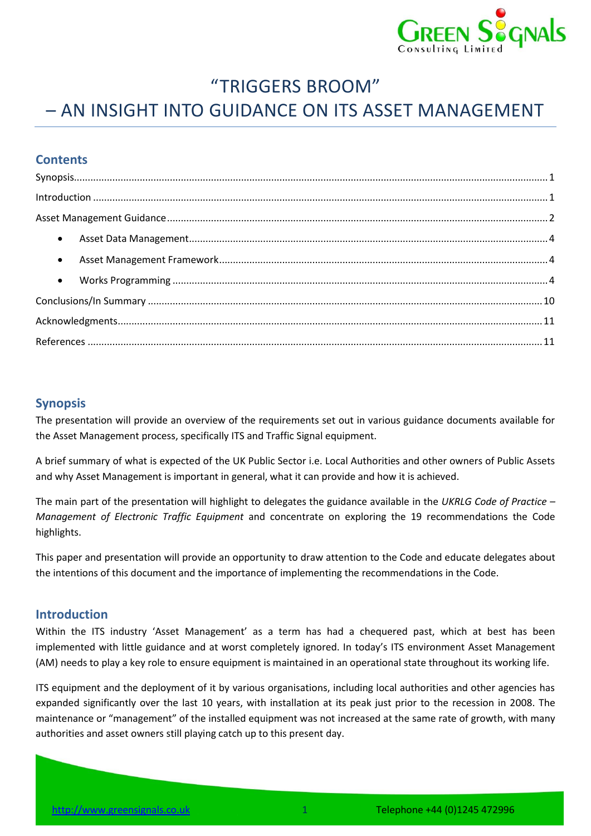

## "TRIGGERS BROOM"

# – AN INSIGHT INTO GUIDANCE ON ITS ASSET MANAGEMENT

## **Contents**

| $\label{eq:interoduction} \mbox{Introduction} \,\, \ldots \,\, \ldots \,\, \ldots \,\, \ldots \,\, \ldots \,\, \ldots \,\, \ldots \,\, \ldots \,\, \ldots \,\, \ldots \,\, \ldots \,\, \ldots \,\, \ldots \,\, \ldots \,\, \ldots \,\, \ldots \,\, \ldots \,\, \ldots \,\, \ldots \,\, \ldots \,\, \ldots \,\, \ldots \,\, \ldots \,\, \ldots \,\, \ldots \,\, \ldots \,\, \ldots \,\, \ldots \,\, \ldots \,\, \ldots \,\, \ldots \,\, \ldots \,\, \ldots \,\, \ldots \$ |  |
|--------------------------------------------------------------------------------------------------------------------------------------------------------------------------------------------------------------------------------------------------------------------------------------------------------------------------------------------------------------------------------------------------------------------------------------------------------------------------|--|
|                                                                                                                                                                                                                                                                                                                                                                                                                                                                          |  |
|                                                                                                                                                                                                                                                                                                                                                                                                                                                                          |  |
|                                                                                                                                                                                                                                                                                                                                                                                                                                                                          |  |
|                                                                                                                                                                                                                                                                                                                                                                                                                                                                          |  |
|                                                                                                                                                                                                                                                                                                                                                                                                                                                                          |  |
|                                                                                                                                                                                                                                                                                                                                                                                                                                                                          |  |
|                                                                                                                                                                                                                                                                                                                                                                                                                                                                          |  |

## <span id="page-0-0"></span>**Synopsis**

The presentation will provide an overview of the requirements set out in various guidance documents available for the Asset Management process, specifically ITS and Traffic Signal equipment.

A brief summary of what is expected of the UK Public Sector i.e. Local Authorities and other owners of Public Assets and why Asset Management is important in general, what it can provide and how it is achieved.

The main part of the presentation will highlight to delegates the guidance available in the *UKRLG Code of Practice – Management of Electronic Traffic Equipment* and concentrate on exploring the 19 recommendations the Code highlights.

This paper and presentation will provide an opportunity to draw attention to the Code and educate delegates about the intentions of this document and the importance of implementing the recommendations in the Code.

#### <span id="page-0-1"></span>**Introduction**

Within the ITS industry 'Asset Management' as a term has had a chequered past, which at best has been implemented with little guidance and at worst completely ignored. In today's ITS environment Asset Management (AM) needs to play a key role to ensure equipment is maintained in an operational state throughout its working life.

ITS equipment and the deployment of it by various organisations, including local authorities and other agencies has expanded significantly over the last 10 years, with installation at its peak just prior to the recession in 2008. The maintenance or "management" of the installed equipment was not increased at the same rate of growth, with many authorities and asset owners still playing catch up to this present day.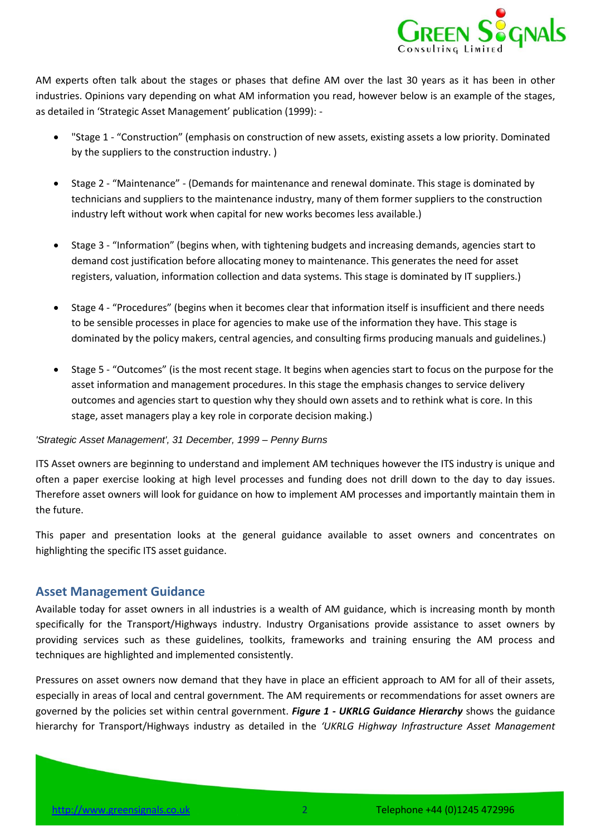

AM experts often talk about the stages or phases that define AM over the last 30 years as it has been in other industries. Opinions vary depending on what AM information you read, however below is an example of the stages, as detailed in 'Strategic Asset Management' publication (1999): -

- "Stage 1 "Construction" (emphasis on construction of new assets, existing assets a low priority. Dominated by the suppliers to the construction industry. )
- Stage 2 "Maintenance" (Demands for maintenance and renewal dominate. This stage is dominated by technicians and suppliers to the maintenance industry, many of them former suppliers to the construction industry left without work when capital for new works becomes less available.)
- Stage 3 "Information" (begins when, with tightening budgets and increasing demands, agencies start to demand cost justification before allocating money to maintenance. This generates the need for asset registers, valuation, information collection and data systems. This stage is dominated by IT suppliers.)
- Stage 4 "Procedures" (begins when it becomes clear that information itself is insufficient and there needs to be sensible processes in place for agencies to make use of the information they have. This stage is dominated by the policy makers, central agencies, and consulting firms producing manuals and guidelines.)
- Stage 5 "Outcomes" (is the most recent stage. It begins when agencies start to focus on the purpose for the asset information and management procedures. In this stage the emphasis changes to service delivery outcomes and agencies start to question why they should own assets and to rethink what is core. In this stage, asset managers play a key role in corporate decision making.)

#### *'Strategic Asset Management', 31 December, 1999 – Penny Burns*

ITS Asset owners are beginning to understand and implement AM techniques however the ITS industry is unique and often a paper exercise looking at high level processes and funding does not drill down to the day to day issues. Therefore asset owners will look for guidance on how to implement AM processes and importantly maintain them in the future.

This paper and presentation looks at the general guidance available to asset owners and concentrates on highlighting the specific ITS asset guidance.

## <span id="page-1-0"></span>**Asset Management Guidance**

Available today for asset owners in all industries is a wealth of AM guidance, which is increasing month by month specifically for the Transport/Highways industry. Industry Organisations provide assistance to asset owners by providing services such as these guidelines, toolkits, frameworks and training ensuring the AM process and techniques are highlighted and implemented consistently.

Pressures on asset owners now demand that they have in place an efficient approach to AM for all of their assets, especially in areas of local and central government. The AM requirements or recommendations for asset owners are governed by the policies set within central government. *Figure 1 - [UKRLG Guidance Hierarchy](#page-2-0)* shows the guidance hierarchy for Transport/Highways industry as detailed in the *'UKRLG Highway Infrastructure Asset Management*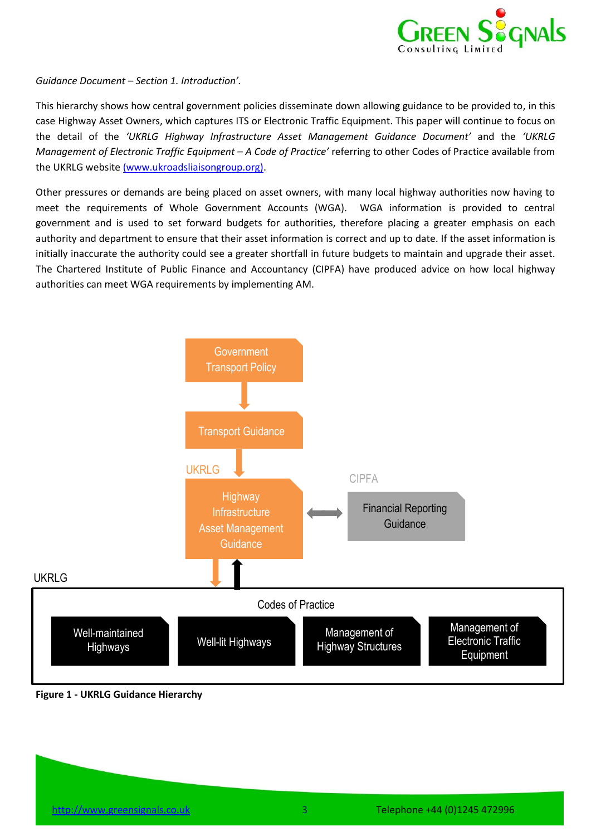

*Guidance Document – Section 1. Introduction'.*

This hierarchy shows how central government policies disseminate down allowing guidance to be provided to, in this case Highway Asset Owners, which captures ITS or Electronic Traffic Equipment. This paper will continue to focus on the detail of the *'UKRLG Highway Infrastructure Asset Management Guidance Document'* and the *'UKRLG Management of Electronic Traffic Equipment – A Code of Practice'* referring to other Codes of Practice available from the UKRLG website [\(www.ukroadsliaisongroup.org\).](http://www.ukroadsliaisongroup.org/)

Other pressures or demands are being placed on asset owners, with many local highway authorities now having to meet the requirements of Whole Government Accounts (WGA). WGA information is provided to central government and is used to set forward budgets for authorities, therefore placing a greater emphasis on each authority and department to ensure that their asset information is correct and up to date. If the asset information is initially inaccurate the authority could see a greater shortfall in future budgets to maintain and upgrade their asset. The Chartered Institute of Public Finance and Accountancy (CIPFA) have produced advice on how local highway authorities can meet WGA requirements by implementing AM.



<span id="page-2-0"></span>**Figure 1 - UKRLG Guidance Hierarchy**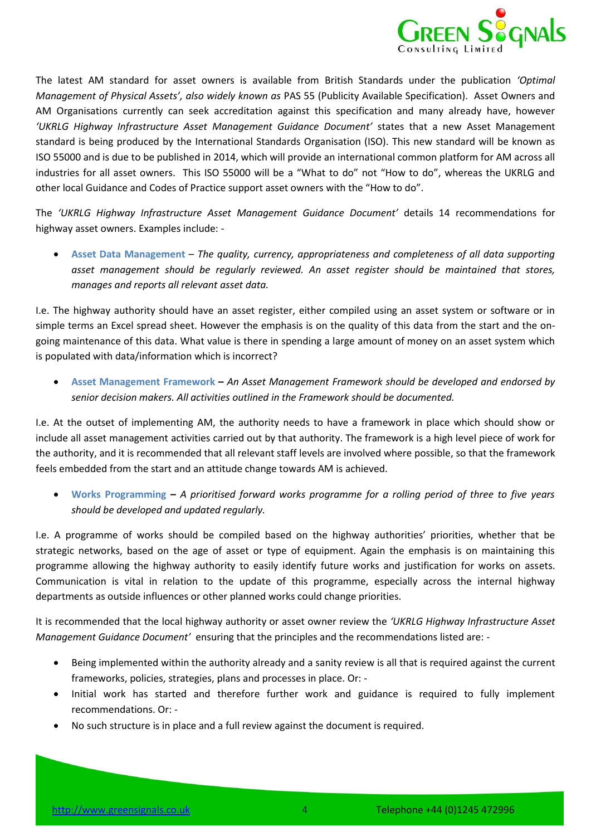

The latest AM standard for asset owners is available from British Standards under the publication *'Optimal Management of Physical Assets', also widely known as* PAS 55 (Publicity Available Specification). Asset Owners and AM Organisations currently can seek accreditation against this specification and many already have, however *'UKRLG Highway Infrastructure Asset Management Guidance Document'* states that a new Asset Management standard is being produced by the International Standards Organisation (ISO). This new standard will be known as ISO 55000 and is due to be published in 2014, which will provide an international common platform for AM across all industries for all asset owners. This ISO 55000 will be a "What to do" not "How to do", whereas the UKRLG and other local Guidance and Codes of Practice support asset owners with the "How to do".

The *'UKRLG Highway Infrastructure Asset Management Guidance Document'* details 14 recommendations for highway asset owners. Examples include: -

<span id="page-3-0"></span> **Asset Data Management** – *The quality, currency, appropriateness and completeness of all data supporting asset management should be regularly reviewed. An asset register should be maintained that stores, manages and reports all relevant asset data.*

I.e. The highway authority should have an asset register, either compiled using an asset system or software or in simple terms an Excel spread sheet. However the emphasis is on the quality of this data from the start and the ongoing maintenance of this data. What value is there in spending a large amount of money on an asset system which is populated with data/information which is incorrect?

<span id="page-3-1"></span> **Asset Management Framework –** *An Asset Management Framework should be developed and endorsed by senior decision makers. All activities outlined in the Framework should be documented.*

I.e. At the outset of implementing AM, the authority needs to have a framework in place which should show or include all asset management activities carried out by that authority. The framework is a high level piece of work for the authority, and it is recommended that all relevant staff levels are involved where possible, so that the framework feels embedded from the start and an attitude change towards AM is achieved.

<span id="page-3-2"></span> **Works Programming –** *A prioritised forward works programme for a rolling period of three to five years should be developed and updated regularly.* 

I.e. A programme of works should be compiled based on the highway authorities' priorities, whether that be strategic networks, based on the age of asset or type of equipment. Again the emphasis is on maintaining this programme allowing the highway authority to easily identify future works and justification for works on assets. Communication is vital in relation to the update of this programme, especially across the internal highway departments as outside influences or other planned works could change priorities.

It is recommended that the local highway authority or asset owner review the *'UKRLG Highway Infrastructure Asset Management Guidance Document'* ensuring that the principles and the recommendations listed are: -

- Being implemented within the authority already and a sanity review is all that is required against the current frameworks, policies, strategies, plans and processes in place. Or: -
- Initial work has started and therefore further work and guidance is required to fully implement recommendations. Or: -
- No such structure is in place and a full review against the document is required.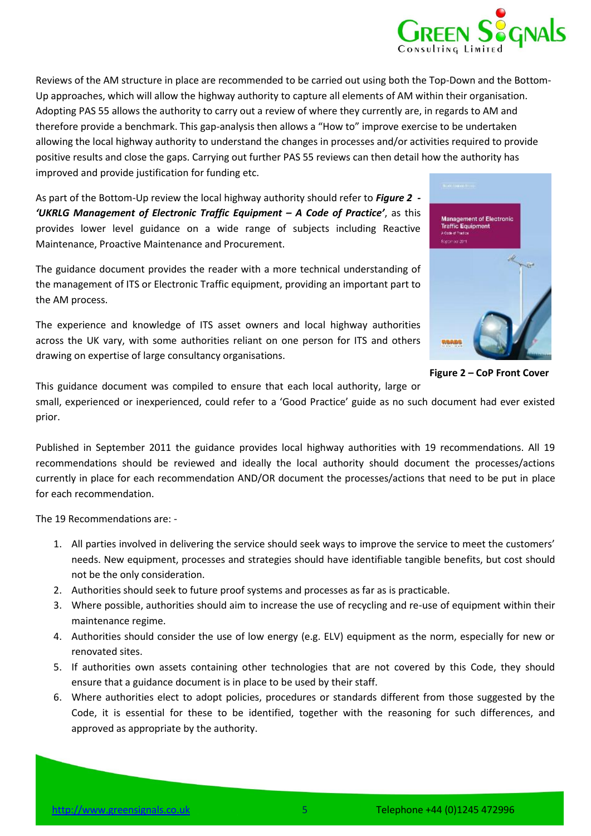

Reviews of the AM structure in place are recommended to be carried out using both the Top-Down and the Bottom-Up approaches, which will allow the highway authority to capture all elements of AM within their organisation. Adopting PAS 55 allows the authority to carry out a review of where they currently are, in regards to AM and therefore provide a benchmark. This gap-analysis then allows a "How to" improve exercise to be undertaken allowing the local highway authority to understand the changes in processes and/or activities required to provide positive results and close the gaps. Carrying out further PAS 55 reviews can then detail how the authority has improved and provide justification for funding etc.

As part of the Bottom-Up review the local highway authority should refer to *[Figure 2](#page-4-0) - 'UKRLG Management of Electronic Traffic Equipment – A Code of Practice'*, as this provides lower level guidance on a wide range of subjects including Reactive Maintenance, Proactive Maintenance and Procurement.

The guidance document provides the reader with a more technical understanding of the management of ITS or Electronic Traffic equipment, providing an important part to the AM process.

The experience and knowledge of ITS asset owners and local highway authorities across the UK vary, with some authorities reliant on one person for ITS and others drawing on expertise of large consultancy organisations.



<span id="page-4-0"></span>**Figure 2 – CoP Front Cover**

This guidance document was compiled to ensure that each local authority, large or

small, experienced or inexperienced, could refer to a 'Good Practice' guide as no such document had ever existed prior.

Published in September 2011 the guidance provides local highway authorities with 19 recommendations. All 19 recommendations should be reviewed and ideally the local authority should document the processes/actions currently in place for each recommendation AND/OR document the processes/actions that need to be put in place for each recommendation.

The 19 Recommendations are: -

- 1. All parties involved in delivering the service should seek ways to improve the service to meet the customers' needs. New equipment, processes and strategies should have identifiable tangible benefits, but cost should not be the only consideration.
- 2. Authorities should seek to future proof systems and processes as far as is practicable.
- 3. Where possible, authorities should aim to increase the use of recycling and re-use of equipment within their maintenance regime.
- <span id="page-4-1"></span>4. Authorities should consider the use of low energy (e.g. ELV) equipment as the norm, especially for new or renovated sites.
- 5. If authorities own assets containing other technologies that are not covered by this Code, they should ensure that a guidance document is in place to be used by their staff.
- 6. Where authorities elect to adopt policies, procedures or standards different from those suggested by the Code, it is essential for these to be identified, together with the reasoning for such differences, and approved as appropriate by the authority.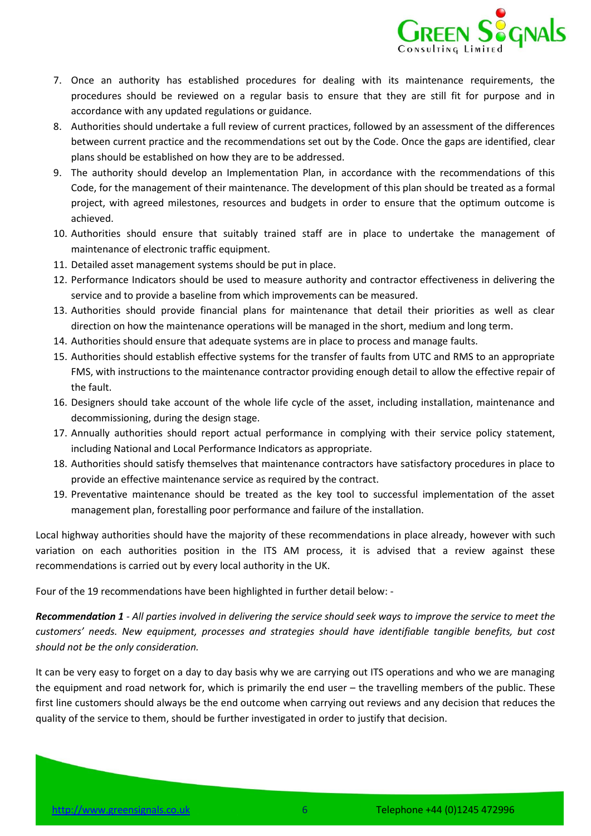

- <span id="page-5-0"></span>7. Once an authority has established procedures for dealing with its maintenance requirements, the procedures should be reviewed on a regular basis to ensure that they are still fit for purpose and in accordance with any updated regulations or guidance.
- 8. Authorities should undertake a full review of current practices, followed by an assessment of the differences between current practice and the recommendations set out by the Code. Once the gaps are identified, clear plans should be established on how they are to be addressed.
- 9. The authority should develop an Implementation Plan, in accordance with the recommendations of this Code, for the management of their maintenance. The development of this plan should be treated as a formal project, with agreed milestones, resources and budgets in order to ensure that the optimum outcome is achieved.
- 10. Authorities should ensure that suitably trained staff are in place to undertake the management of maintenance of electronic traffic equipment.
- 11. Detailed asset management systems should be put in place.
- 12. Performance Indicators should be used to measure authority and contractor effectiveness in delivering the service and to provide a baseline from which improvements can be measured.
- 13. Authorities should provide financial plans for maintenance that detail their priorities as well as clear direction on how the maintenance operations will be managed in the short, medium and long term.
- <span id="page-5-1"></span>14. Authorities should ensure that adequate systems are in place to process and manage faults.
- <span id="page-5-2"></span>15. Authorities should establish effective systems for the transfer of faults from UTC and RMS to an appropriate FMS, with instructions to the maintenance contractor providing enough detail to allow the effective repair of the fault.
- 16. Designers should take account of the whole life cycle of the asset, including installation, maintenance and decommissioning, during the design stage.
- 17. Annually authorities should report actual performance in complying with their service policy statement, including National and Local Performance Indicators as appropriate.
- 18. Authorities should satisfy themselves that maintenance contractors have satisfactory procedures in place to provide an effective maintenance service as required by the contract.
- 19. Preventative maintenance should be treated as the key tool to successful implementation of the asset management plan, forestalling poor performance and failure of the installation.

Local highway authorities should have the majority of these recommendations in place already, however with such variation on each authorities position in the ITS AM process, it is advised that a review against these recommendations is carried out by every local authority in the UK.

Four of the 19 recommendations have been highlighted in further detail below: -

*Recommendation 1 - All parties involved in delivering the service should seek ways to improve the service to meet the customers' needs. New equipment, processes and strategies should have identifiable tangible benefits, but cost should not be the only consideration.*

It can be very easy to forget on a day to day basis why we are carrying out ITS operations and who we are managing the equipment and road network for, which is primarily the end user – the travelling members of the public. These first line customers should always be the end outcome when carrying out reviews and any decision that reduces the quality of the service to them, should be further investigated in order to justify that decision.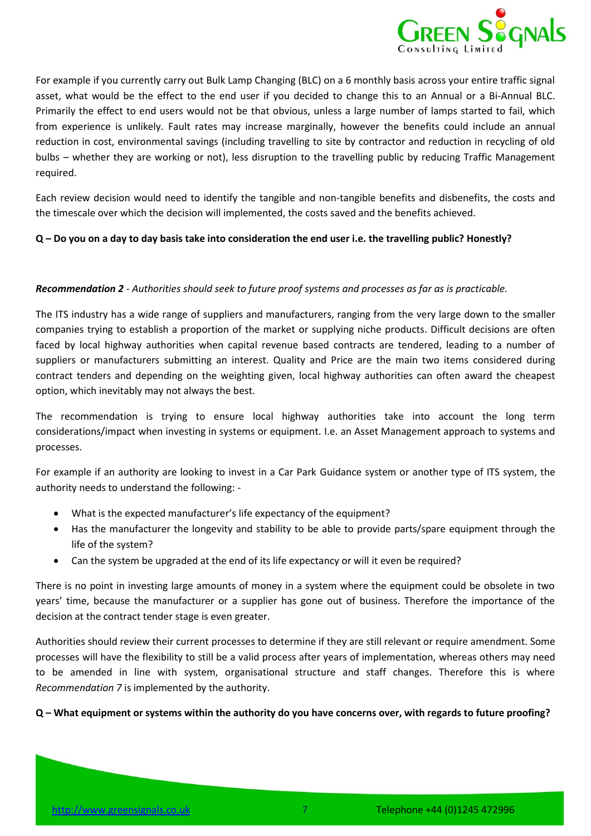

For example if you currently carry out Bulk Lamp Changing (BLC) on a 6 monthly basis across your entire traffic signal asset, what would be the effect to the end user if you decided to change this to an Annual or a Bi-Annual BLC. Primarily the effect to end users would not be that obvious, unless a large number of lamps started to fail, which from experience is unlikely. Fault rates may increase marginally, however the benefits could include an annual reduction in cost, environmental savings (including travelling to site by contractor and reduction in recycling of old bulbs – whether they are working or not), less disruption to the travelling public by reducing Traffic Management required.

Each review decision would need to identify the tangible and non-tangible benefits and disbenefits, the costs and the timescale over which the decision will implemented, the costs saved and the benefits achieved.

#### **Q – Do you on a day to day basis take into consideration the end user i.e. the travelling public? Honestly?**

#### *Recommendation 2 - Authorities should seek to future proof systems and processes as far as is practicable.*

The ITS industry has a wide range of suppliers and manufacturers, ranging from the very large down to the smaller companies trying to establish a proportion of the market or supplying niche products. Difficult decisions are often faced by local highway authorities when capital revenue based contracts are tendered, leading to a number of suppliers or manufacturers submitting an interest. Quality and Price are the main two items considered during contract tenders and depending on the weighting given, local highway authorities can often award the cheapest option, which inevitably may not always the best.

The recommendation is trying to ensure local highway authorities take into account the long term considerations/impact when investing in systems or equipment. I.e. an Asset Management approach to systems and processes.

For example if an authority are looking to invest in a Car Park Guidance system or another type of ITS system, the authority needs to understand the following: -

- What is the expected manufacturer's life expectancy of the equipment?
- Has the manufacturer the longevity and stability to be able to provide parts/spare equipment through the life of the system?
- Can the system be upgraded at the end of its life expectancy or will it even be required?

There is no point in investing large amounts of money in a system where the equipment could be obsolete in two years' time, because the manufacturer or a supplier has gone out of business. Therefore the importance of the decision at the contract tender stage is even greater.

Authorities should review their current processes to determine if they are still relevant or require amendment. Some processes will have the flexibility to still be a valid process after years of implementation, whereas others may need to be amended in line with system, organisational structure and staff changes. Therefore this is where *Recommendation [7](#page-5-0)* is implemented by the authority.

#### **Q – What equipment or systems within the authority do you have concerns over, with regards to future proofing?**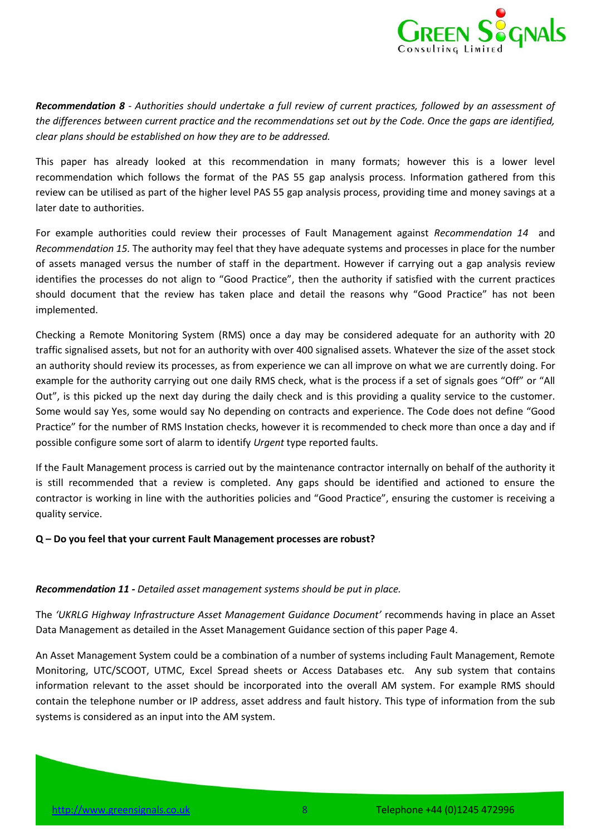

*Recommendation 8 - Authorities should undertake a full review of current practices, followed by an assessment of the differences between current practice and the recommendations set out by the Code. Once the gaps are identified, clear plans should be established on how they are to be addressed.*

This paper has already looked at this recommendation in many formats; however this is a lower level recommendation which follows the format of the PAS 55 gap analysis process. Information gathered from this review can be utilised as part of the higher level PAS 55 gap analysis process, providing time and money savings at a later date to authorities.

For example authorities could review their processes of Fault Management against *Recommendation [14](#page-5-1)* and *Recommendation [15.](#page-5-2)* The authority may feel that they have adequate systems and processes in place for the number of assets managed versus the number of staff in the department. However if carrying out a gap analysis review identifies the processes do not align to "Good Practice", then the authority if satisfied with the current practices should document that the review has taken place and detail the reasons why "Good Practice" has not been implemented.

Checking a Remote Monitoring System (RMS) once a day may be considered adequate for an authority with 20 traffic signalised assets, but not for an authority with over 400 signalised assets. Whatever the size of the asset stock an authority should review its processes, as from experience we can all improve on what we are currently doing. For example for the authority carrying out one daily RMS check, what is the process if a set of signals goes "Off" or "All Out", is this picked up the next day during the daily check and is this providing a quality service to the customer. Some would say Yes, some would say No depending on contracts and experience. The Code does not define "Good Practice" for the number of RMS Instation checks, however it is recommended to check more than once a day and if possible configure some sort of alarm to identify *Urgent* type reported faults.

If the Fault Management process is carried out by the maintenance contractor internally on behalf of the authority it is still recommended that a review is completed. Any gaps should be identified and actioned to ensure the contractor is working in line with the authorities policies and "Good Practice", ensuring the customer is receiving a quality service.

#### **Q – Do you feel that your current Fault Management processes are robust?**

#### *Recommendation 11 - Detailed asset management systems should be put in place.*

The *'UKRLG Highway Infrastructure Asset Management Guidance Document'* recommends having in place an Asset Data Management as detailed in the Asset Management Guidance section of this paper Page 4.

An Asset Management System could be a combination of a number of systems including Fault Management, Remote Monitoring, UTC/SCOOT, UTMC, Excel Spread sheets or Access Databases etc. Any sub system that contains information relevant to the asset should be incorporated into the overall AM system. For example RMS should contain the telephone number or IP address, asset address and fault history. This type of information from the sub systems is considered as an input into the AM system.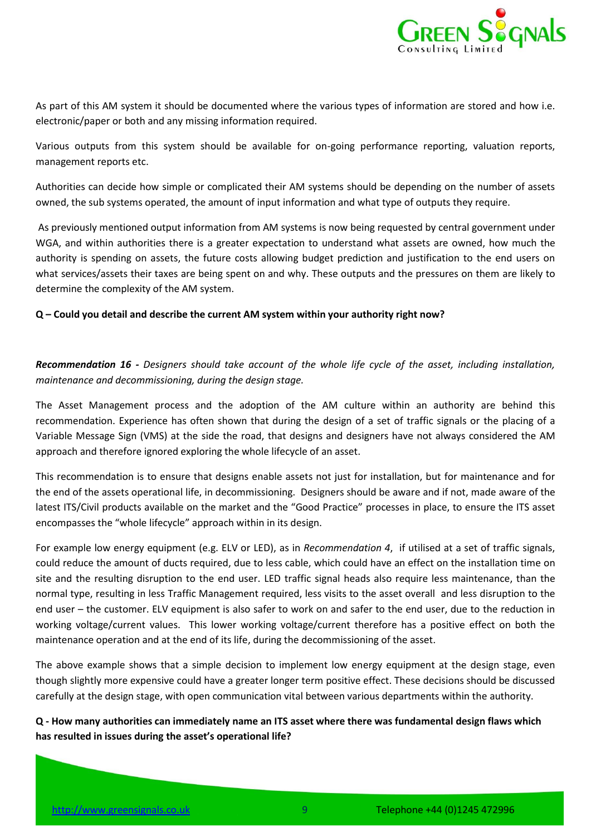

As part of this AM system it should be documented where the various types of information are stored and how i.e. electronic/paper or both and any missing information required.

Various outputs from this system should be available for on-going performance reporting, valuation reports, management reports etc.

Authorities can decide how simple or complicated their AM systems should be depending on the number of assets owned, the sub systems operated, the amount of input information and what type of outputs they require.

As previously mentioned output information from AM systems is now being requested by central government under WGA, and within authorities there is a greater expectation to understand what assets are owned, how much the authority is spending on assets, the future costs allowing budget prediction and justification to the end users on what services/assets their taxes are being spent on and why. These outputs and the pressures on them are likely to determine the complexity of the AM system.

#### **Q – Could you detail and describe the current AM system within your authority right now?**

*Recommendation 16 - Designers should take account of the whole life cycle of the asset, including installation, maintenance and decommissioning, during the design stage.*

The Asset Management process and the adoption of the AM culture within an authority are behind this recommendation. Experience has often shown that during the design of a set of traffic signals or the placing of a Variable Message Sign (VMS) at the side the road, that designs and designers have not always considered the AM approach and therefore ignored exploring the whole lifecycle of an asset.

This recommendation is to ensure that designs enable assets not just for installation, but for maintenance and for the end of the assets operational life, in decommissioning. Designers should be aware and if not, made aware of the latest ITS/Civil products available on the market and the "Good Practice" processes in place, to ensure the ITS asset encompasses the "whole lifecycle" approach within in its design.

For example low energy equipment (e.g. ELV or LED), as in *Recommendation [4](#page-4-1)*, if utilised at a set of traffic signals, could reduce the amount of ducts required, due to less cable, which could have an effect on the installation time on site and the resulting disruption to the end user. LED traffic signal heads also require less maintenance, than the normal type, resulting in less Traffic Management required, less visits to the asset overall and less disruption to the end user – the customer. ELV equipment is also safer to work on and safer to the end user, due to the reduction in working voltage/current values. This lower working voltage/current therefore has a positive effect on both the maintenance operation and at the end of its life, during the decommissioning of the asset.

The above example shows that a simple decision to implement low energy equipment at the design stage, even though slightly more expensive could have a greater longer term positive effect. These decisions should be discussed carefully at the design stage, with open communication vital between various departments within the authority.

**Q - How many authorities can immediately name an ITS asset where there was fundamental design flaws which has resulted in issues during the asset's operational life?**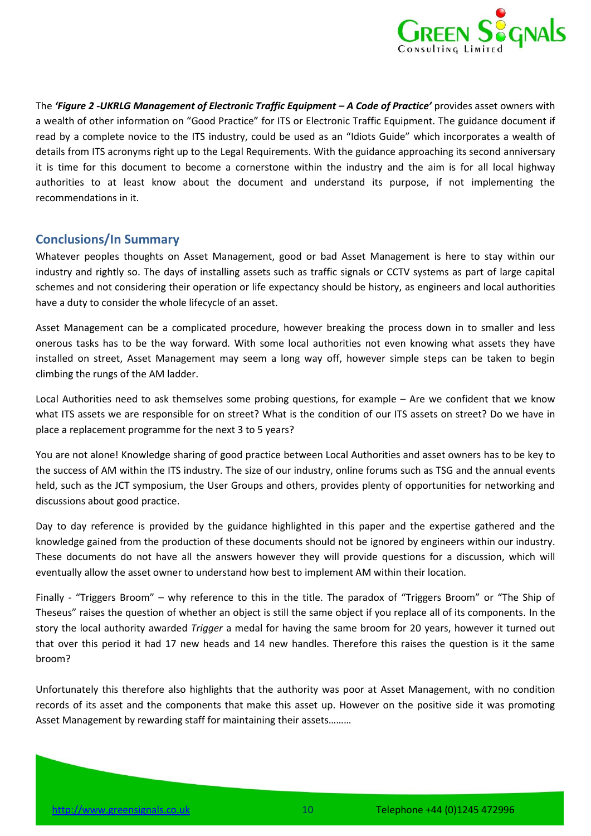

The *'[Figure 2](#page-4-0) -UKRLG Management of Electronic Traffic Equipment – A Code of Practice'* provides asset owners with a wealth of other information on "Good Practice" for ITS or Electronic Traffic Equipment. The guidance document if read by a complete novice to the ITS industry, could be used as an "Idiots Guide" which incorporates a wealth of details from ITS acronyms right up to the Legal Requirements. With the guidance approaching its second anniversary it is time for this document to become a cornerstone within the industry and the aim is for all local highway authorities to at least know about the document and understand its purpose, if not implementing the recommendations in it.

## <span id="page-9-0"></span>**Conclusions/In Summary**

Whatever peoples thoughts on Asset Management, good or bad Asset Management is here to stay within our industry and rightly so. The days of installing assets such as traffic signals or CCTV systems as part of large capital schemes and not considering their operation or life expectancy should be history, as engineers and local authorities have a duty to consider the whole lifecycle of an asset.

Asset Management can be a complicated procedure, however breaking the process down in to smaller and less onerous tasks has to be the way forward. With some local authorities not even knowing what assets they have installed on street, Asset Management may seem a long way off, however simple steps can be taken to begin climbing the rungs of the AM ladder.

Local Authorities need to ask themselves some probing questions, for example – Are we confident that we know what ITS assets we are responsible for on street? What is the condition of our ITS assets on street? Do we have in place a replacement programme for the next 3 to 5 years?

You are not alone! Knowledge sharing of good practice between Local Authorities and asset owners has to be key to the success of AM within the ITS industry. The size of our industry, online forums such as TSG and the annual events held, such as the JCT symposium, the User Groups and others, provides plenty of opportunities for networking and discussions about good practice.

Day to day reference is provided by the guidance highlighted in this paper and the expertise gathered and the knowledge gained from the production of these documents should not be ignored by engineers within our industry. These documents do not have all the answers however they will provide questions for a discussion, which will eventually allow the asset owner to understand how best to implement AM within their location.

Finally - "Triggers Broom" – why reference to this in the title. The paradox of "Triggers Broom" or "The Ship of Theseus" raises the question of whether an object is still the same object if you replace all of its components. In the story the local authority awarded *Trigger* a medal for having the same broom for 20 years, however it turned out that over this period it had 17 new heads and 14 new handles. Therefore this raises the question is it the same broom?

Unfortunately this therefore also highlights that the authority was poor at Asset Management, with no condition records of its asset and the components that make this asset up. However on the positive side it was promoting Asset Management by rewarding staff for maintaining their assets………